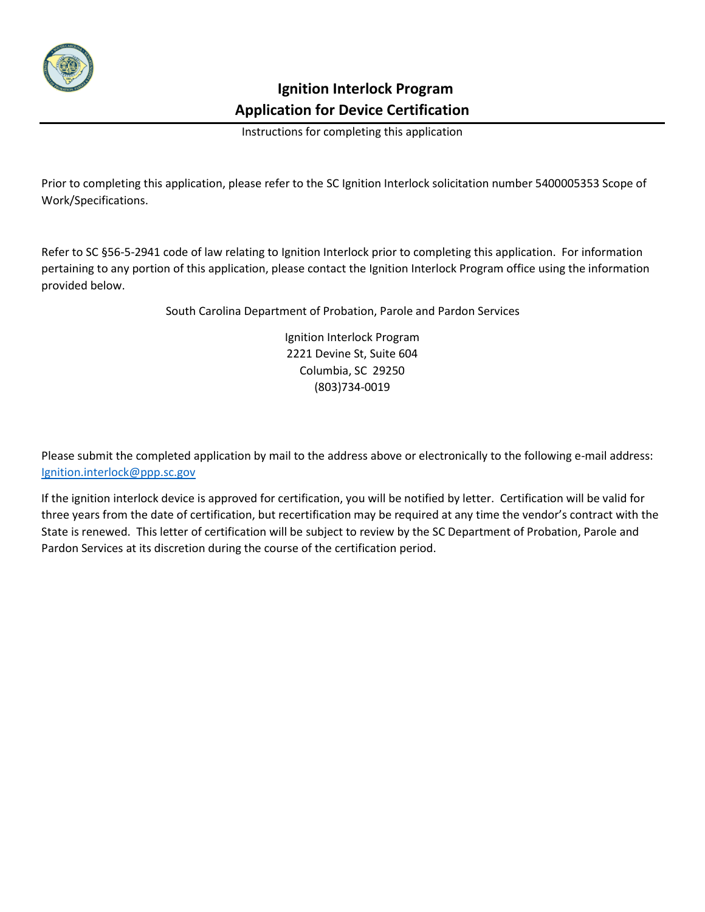

 **Ignition Interlock Program Application for Device Certification**

Instructions for completing this application

Prior to completing this application, please refer to the SC Ignition Interlock solicitation number 5400005353 Scope of Work/Specifications.

Refer to SC §56-5-2941 code of law relating to Ignition Interlock prior to completing this application. For information pertaining to any portion of this application, please contact the Ignition Interlock Program office using the information provided below.

South Carolina Department of Probation, Parole and Pardon Services

Ignition Interlock Program 2221 Devine St, Suite 604 Columbia, SC 29250 (803)734-0019

Please submit the completed application by mail to the address above or electronically to the following e-mail address: [Ignition.interlock@ppp.sc.gov](mailto:Ignition.interlock@ppp.sc.gov)

If the ignition interlock device is approved for certification, you will be notified by letter. Certification will be valid for three years from the date of certification, but recertification may be required at any time the vendor's contract with the State is renewed. This letter of certification will be subject to review by the SC Department of Probation, Parole and Pardon Services at its discretion during the course of the certification period.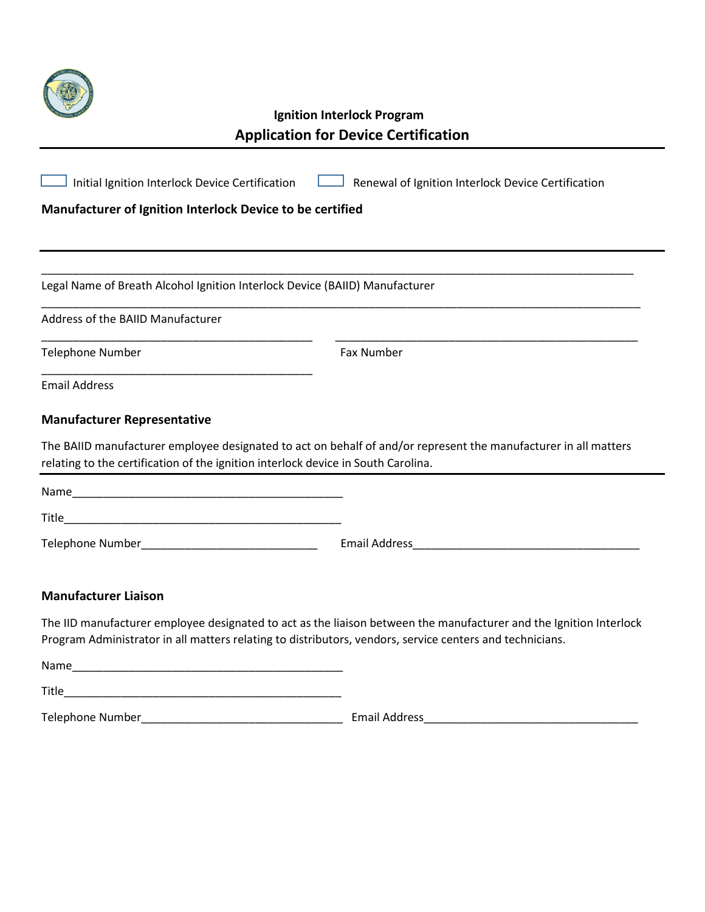

## **Ignition Interlock Program Application for Device Certification**

| Initial Ignition Interlock Device Certification                                                                                                                                                                                | Renewal of Ignition Interlock Device Certification                                                                 |
|--------------------------------------------------------------------------------------------------------------------------------------------------------------------------------------------------------------------------------|--------------------------------------------------------------------------------------------------------------------|
| Manufacturer of Ignition Interlock Device to be certified                                                                                                                                                                      |                                                                                                                    |
|                                                                                                                                                                                                                                |                                                                                                                    |
| Legal Name of Breath Alcohol Ignition Interlock Device (BAIID) Manufacturer                                                                                                                                                    |                                                                                                                    |
| Address of the BAIID Manufacturer                                                                                                                                                                                              |                                                                                                                    |
| <b>Telephone Number</b>                                                                                                                                                                                                        | Fax Number                                                                                                         |
| <b>Email Address</b>                                                                                                                                                                                                           |                                                                                                                    |
| <b>Manufacturer Representative</b>                                                                                                                                                                                             |                                                                                                                    |
| relating to the certification of the ignition interlock device in South Carolina.                                                                                                                                              | The BAIID manufacturer employee designated to act on behalf of and/or represent the manufacturer in all matters    |
|                                                                                                                                                                                                                                |                                                                                                                    |
|                                                                                                                                                                                                                                |                                                                                                                    |
|                                                                                                                                                                                                                                |                                                                                                                    |
| <b>Manufacturer Liaison</b>                                                                                                                                                                                                    |                                                                                                                    |
| Program Administrator in all matters relating to distributors, vendors, service centers and technicians.                                                                                                                       | The IID manufacturer employee designated to act as the liaison between the manufacturer and the Ignition Interlock |
| Name and the state of the state of the state of the state of the state of the state of the state of the state of the state of the state of the state of the state of the state of the state of the state of the state of the s |                                                                                                                    |
|                                                                                                                                                                                                                                |                                                                                                                    |

Telephone Number\_\_\_\_\_\_\_\_\_\_\_\_\_\_\_\_\_\_\_\_\_\_\_\_\_\_\_\_\_\_\_\_ Email Address\_\_\_\_\_\_\_\_\_\_\_\_\_\_\_\_\_\_\_\_\_\_\_\_\_\_\_\_\_\_\_\_\_\_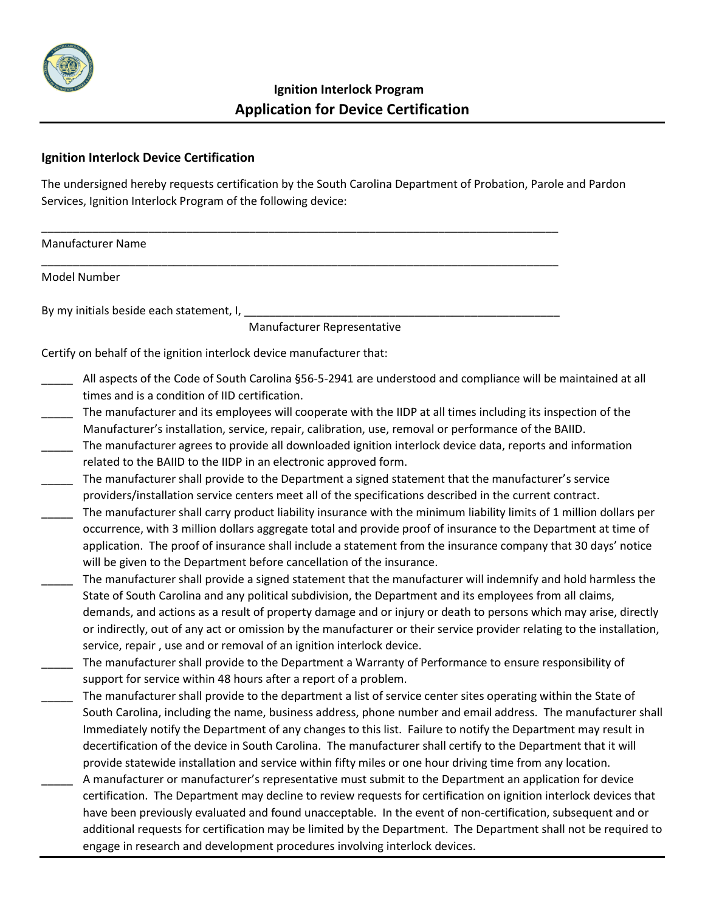

## **Ignition Interlock Device Certification**

The undersigned hereby requests certification by the South Carolina Department of Probation, Parole and Pardon Services, Ignition Interlock Program of the following device:

\_\_\_\_\_\_\_\_\_\_\_\_\_\_\_\_\_\_\_\_\_\_\_\_\_\_\_\_\_\_\_\_\_\_\_\_\_\_\_\_\_\_\_\_\_\_\_\_\_\_\_\_\_\_\_\_\_\_\_\_\_\_\_\_\_\_\_\_\_\_\_\_\_\_\_\_\_\_\_\_\_\_

\_\_\_\_\_\_\_\_\_\_\_\_\_\_\_\_\_\_\_\_\_\_\_\_\_\_\_\_\_\_\_\_\_\_\_\_\_\_\_\_\_\_\_\_\_\_\_\_\_\_\_\_\_\_\_\_\_\_\_\_\_\_\_\_\_\_\_\_\_\_\_\_\_\_\_\_\_\_\_\_\_\_

Manufacturer Name

Model Number

By my initials beside each statement, I,

Manufacturer Representative

Certify on behalf of the ignition interlock device manufacturer that:

- All aspects of the Code of South Carolina §56-5-2941 are understood and compliance will be maintained at all times and is a condition of IID certification.
- The manufacturer and its employees will cooperate with the IIDP at all times including its inspection of the Manufacturer's installation, service, repair, calibration, use, removal or performance of the BAIID.
- The manufacturer agrees to provide all downloaded ignition interlock device data, reports and information related to the BAIID to the IIDP in an electronic approved form.
- The manufacturer shall provide to the Department a signed statement that the manufacturer's service providers/installation service centers meet all of the specifications described in the current contract.
- The manufacturer shall carry product liability insurance with the minimum liability limits of 1 million dollars per occurrence, with 3 million dollars aggregate total and provide proof of insurance to the Department at time of application. The proof of insurance shall include a statement from the insurance company that 30 days' notice will be given to the Department before cancellation of the insurance.
- The manufacturer shall provide a signed statement that the manufacturer will indemnify and hold harmless the State of South Carolina and any political subdivision, the Department and its employees from all claims, demands, and actions as a result of property damage and or injury or death to persons which may arise, directly or indirectly, out of any act or omission by the manufacturer or their service provider relating to the installation, service, repair , use and or removal of an ignition interlock device.
- \_\_\_\_\_ The manufacturer shall provide to the Department a Warranty of Performance to ensure responsibility of support for service within 48 hours after a report of a problem.
- The manufacturer shall provide to the department a list of service center sites operating within the State of South Carolina, including the name, business address, phone number and email address. The manufacturer shall Immediately notify the Department of any changes to this list. Failure to notify the Department may result in decertification of the device in South Carolina. The manufacturer shall certify to the Department that it will provide statewide installation and service within fifty miles or one hour driving time from any location.
- A manufacturer or manufacturer's representative must submit to the Department an application for device certification. The Department may decline to review requests for certification on ignition interlock devices that have been previously evaluated and found unacceptable. In the event of non-certification, subsequent and or additional requests for certification may be limited by the Department. The Department shall not be required to engage in research and development procedures involving interlock devices.